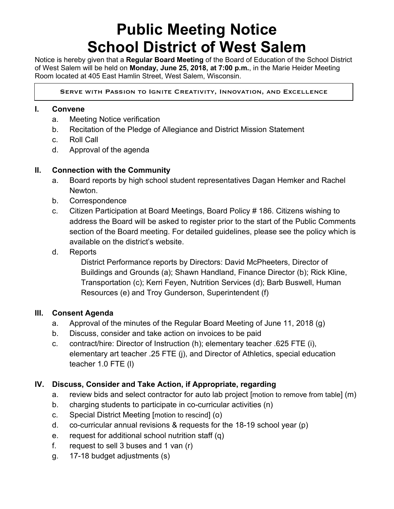# **Public Meeting Notice School District of West Salem**

Notice is hereby given that a **Regular Board Meeting** of the Board of Education of the School District of West Salem will be held on **Monday, June 25, 2018, at 7:00 p.m.**, in the Marie Heider Meeting Room located at 405 East Hamlin Street, West Salem, Wisconsin.

Serve with Passion to Ignite Creativity, Innovation, and Excellence

#### **I. Convene**

 $\overline{a}$ 

- a. Meeting Notice verification
- b. Recitation of the Pledge of Allegiance and District Mission Statement
- c. Roll Call
- d. Approval of the agenda

### **II. Connection with the Community**

- a. Board reports by high school student representatives Dagan Hemker and Rachel Newton.
- b. Correspondence
- c. Citizen Participation at Board Meetings, Board Policy # 186. Citizens wishing to address the Board will be asked to register prior to the start of the Public Comments section of the Board meeting. For detailed guidelines, please see the policy which is available on the district's website.
- d. Reports

District Performance reports by Directors: David McPheeters, Director of Buildings and Grounds (a); Shawn Handland, Finance Director (b); Rick Kline, Transportation (c); Kerri Feyen, Nutrition Services (d); Barb Buswell, Human Resources (e) and Troy Gunderson, Superintendent (f)

#### **III. Consent Agenda**

- a. Approval of the minutes of the Regular Board Meeting of June 11, 2018 (g)
- b. Discuss, consider and take action on invoices to be paid
- c. contract/hire: Director of Instruction (h); elementary teacher .625 FTE (i), elementary art teacher .25 FTE (j), and Director of Athletics, special education teacher 1.0 FTE (l)

## **IV. Discuss, Consider and Take Action, if Appropriate, regarding**

- a. review bids and select contractor for auto lab project [motion to remove from table] (m)
- b. charging students to participate in co-curricular activities (n)
- c. Special District Meeting [motion to rescind] (o)
- d. co-curricular annual revisions & requests for the 18-19 school year (p)
- e. request for additional school nutrition staff (q)
- f. request to sell 3 buses and 1 van (r)
- g. 17-18 budget adjustments (s)